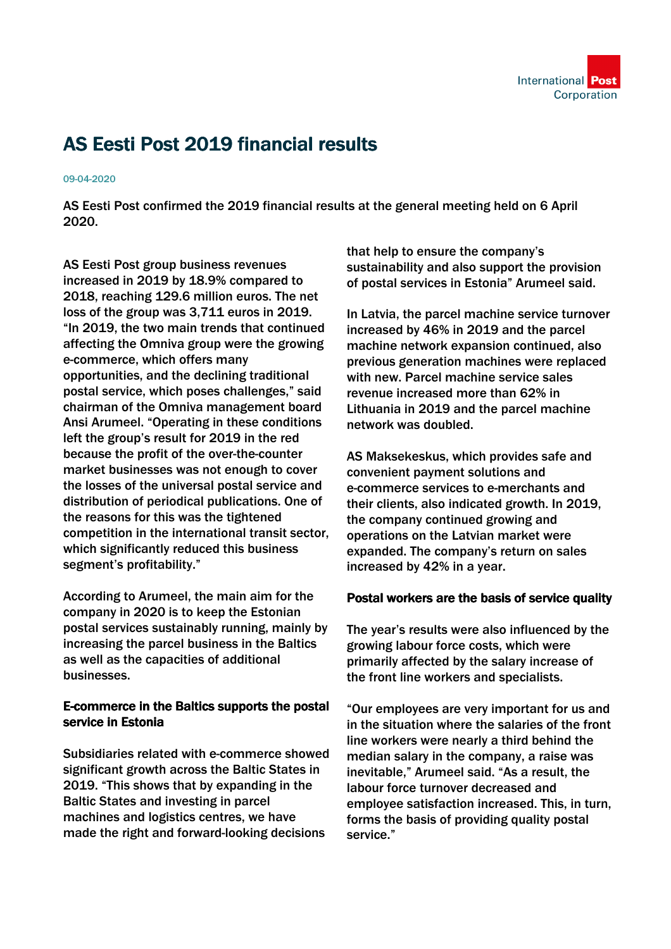

## AS Eesti Post 2019 financial results

## 09-04-2020

AS Eesti Post confirmed the 2019 financial results at the general meeting held on 6 April 2020.

AS Eesti Post group business revenues increased in 2019 by 18.9% compared to 2018, reaching 129.6 million euros. The net loss of the group was 3,711 euros in 2019. "In 2019, the two main trends that continued affecting the Omniva group were the growing e-commerce, which offers many opportunities, and the declining traditional postal service, which poses challenges," said chairman of the Omniva management board Ansi Arumeel. "Operating in these conditions left the group's result for 2019 in the red because the profit of the over-the-counter market businesses was not enough to cover the losses of the universal postal service and distribution of periodical publications. One of the reasons for this was the tightened competition in the international transit sector, which significantly reduced this business segment's profitability."

According to Arumeel, the main aim for the company in 2020 is to keep the Estonian postal services sustainably running, mainly by increasing the parcel business in the Baltics as well as the capacities of additional businesses.

## E-commerce in the Baltics supports the postal service in Estonia

Subsidiaries related with e-commerce showed significant growth across the Baltic States in 2019. "This shows that by expanding in the Baltic States and investing in parcel machines and logistics centres, we have made the right and forward-looking decisions

that help to ensure the company's sustainability and also support the provision of postal services in Estonia" Arumeel said.

In Latvia, the parcel machine service turnover increased by 46% in 2019 and the parcel machine network expansion continued, also previous generation machines were replaced with new. Parcel machine service sales revenue increased more than 62% in Lithuania in 2019 and the parcel machine network was doubled.

AS Maksekeskus, which provides safe and convenient payment solutions and e-commerce services to e-merchants and their clients, also indicated growth. In 2019, the company continued growing and operations on the Latvian market were expanded. The company's return on sales increased by 42% in a year.

## Postal workers are the basis of service quality

The year's results were also influenced by the growing labour force costs, which were primarily affected by the salary increase of the front line workers and specialists.

"Our employees are very important for us and in the situation where the salaries of the front line workers were nearly a third behind the median salary in the company, a raise was inevitable," Arumeel said. "As a result, the labour force turnover decreased and employee satisfaction increased. This, in turn, forms the basis of providing quality postal service."